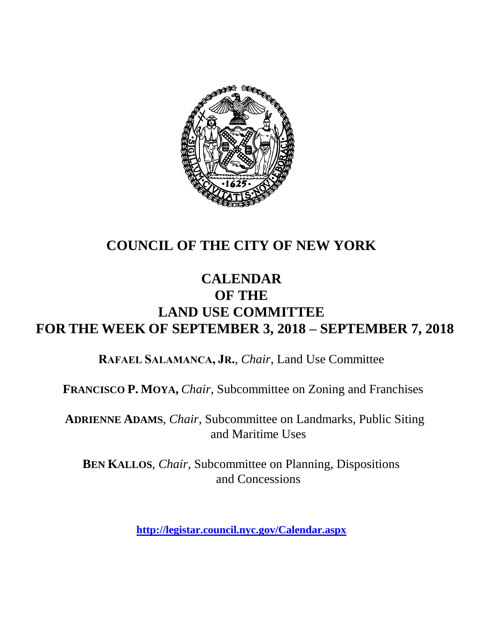

# **COUNCIL OF THE CITY OF NEW YORK**

## **CALENDAR OF THE LAND USE COMMITTEE FOR THE WEEK OF SEPTEMBER 3, 2018 – SEPTEMBER 7, 2018**

**RAFAEL SALAMANCA, JR.**, *Chair*, Land Use Committee

**FRANCISCO P. MOYA,** *Chair,* Subcommittee on Zoning and Franchises

**ADRIENNE ADAMS**, *Chair*, Subcommittee on Landmarks, Public Siting and Maritime Uses

**BEN KALLOS**, *Chair,* Subcommittee on Planning, Dispositions and Concessions

**<http://legistar.council.nyc.gov/Calendar.aspx>**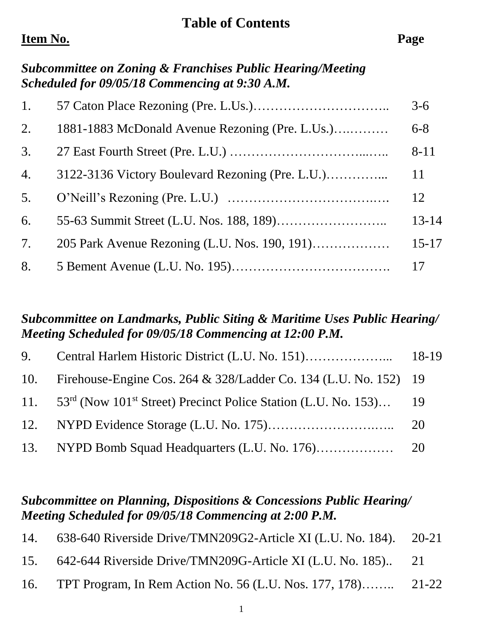### **Table of Contents**

## **Item No. Page**

## *Subcommittee on Zoning & Franchises Public Hearing/Meeting Scheduled for 09/05/18 Commencing at 9:30 A.M.*

| 1. |                                                 | $3 - 6$   |
|----|-------------------------------------------------|-----------|
| 2. | 1881-1883 McDonald Avenue Rezoning (Pre. L.Us.) | $6 - 8$   |
| 3. |                                                 | $8 - 11$  |
| 4. |                                                 | 11        |
| 5. |                                                 | 12        |
| 6. |                                                 | $13 - 14$ |
| 7. |                                                 | $15 - 17$ |
| 8. |                                                 |           |

### *Subcommittee on Landmarks, Public Siting & Maritime Uses Public Hearing/ Meeting Scheduled for 09/05/18 Commencing at 12:00 P.M.*

| 10. Firehouse-Engine Cos. 264 & 328/Ladder Co. 134 (L.U. No. 152) 19                          |  |
|-----------------------------------------------------------------------------------------------|--|
| 11. 53 <sup>rd</sup> (Now 101 <sup>st</sup> Street) Precinct Police Station (L.U. No. 153) 19 |  |
|                                                                                               |  |
|                                                                                               |  |

## *Subcommittee on Planning, Dispositions & Concessions Public Hearing/ Meeting Scheduled for 09/05/18 Commencing at 2:00 P.M.*

| 14. | 638-640 Riverside Drive/TMN209G2-Article XI (L.U. No. 184). 20-21 |  |
|-----|-------------------------------------------------------------------|--|
|     | 15. 642-644 Riverside Drive/TMN209G-Article XI (L.U. No. 185) 21  |  |
|     | 16. TPT Program, In Rem Action No. 56 (L.U. Nos. 177, 178) 21-22  |  |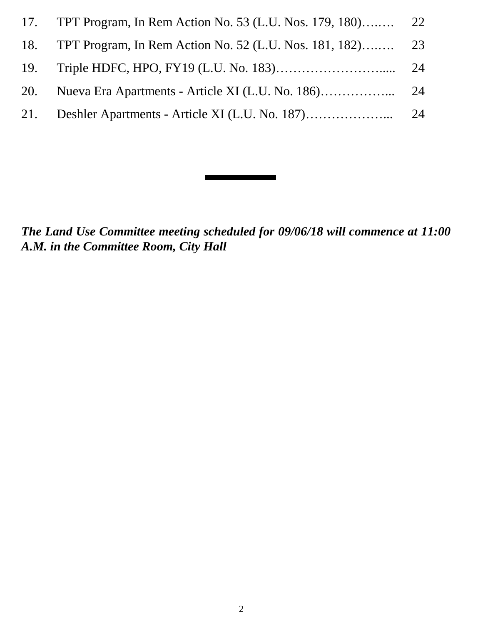| 17. |                                                               |  |
|-----|---------------------------------------------------------------|--|
|     | 18. TPT Program, In Rem Action No. 52 (L.U. Nos. 181, 182) 23 |  |
|     |                                                               |  |
|     |                                                               |  |
|     |                                                               |  |

*The Land Use Committee meeting scheduled for 09/06/18 will commence at 11:00 A.M. in the Committee Room, City Hall*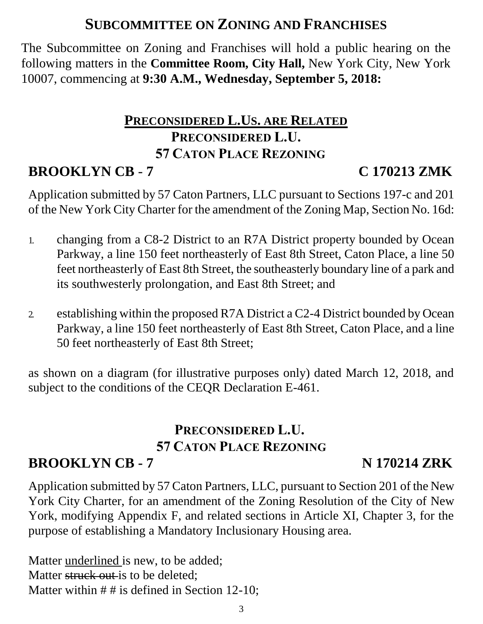## **SUBCOMMITTEE ON ZONING AND FRANCHISES**

The Subcommittee on Zoning and Franchises will hold a public hearing on the following matters in the **Committee Room, City Hall,** New York City, New York 10007, commencing at **9:30 A.M., Wednesday, September 5, 2018:**

# **PRECONSIDERED L.US. ARE RELATED PRECONSIDERED L.U. 57 CATON PLACE REZONING**

# **BROOKLYN CB** - **7 C 170213 ZMK**

Application submitted by 57 Caton Partners, LLC pursuant to Sections 197-c and 201 of the New York City Charter for the amendment of the Zoning Map, Section No. 16d:

- 1. changing from a C8-2 District to an R7A District property bounded by Ocean Parkway, a line 150 feet northeasterly of East 8th Street, Caton Place, a line 50 feet northeasterly of East 8th Street, the southeasterly boundary line of a park and its southwesterly prolongation, and East 8th Street; and
- 2. establishing within the proposed R7A District a C2-4 District bounded by Ocean Parkway, a line 150 feet northeasterly of East 8th Street, Caton Place, and a line 50 feet northeasterly of East 8th Street;

as shown on a diagram (for illustrative purposes only) dated March 12, 2018, and subject to the conditions of the CEQR Declaration E-461.

# **PRECONSIDERED L.U. 57 CATON PLACE REZONING**

# **BROOKLYN CB - 7 N 170214 ZRK**

Application submitted by 57 Caton Partners, LLC, pursuant to Section 201 of the New York City Charter, for an amendment of the Zoning Resolution of the City of New York, modifying Appendix F, and related sections in Article XI, Chapter 3, for the purpose of establishing a Mandatory Inclusionary Housing area.

Matter underlined is new, to be added; Matter struck out is to be deleted: Matter within  $# #$  is defined in Section 12-10;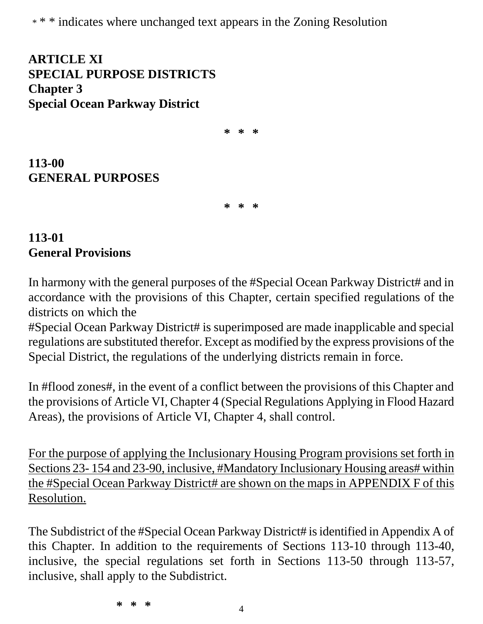\* \* \* indicates where unchanged text appears in the Zoning Resolution

**ARTICLE XI SPECIAL PURPOSE DISTRICTS Chapter 3 Special Ocean Parkway District**

**\* \* \***

**113-00 GENERAL PURPOSES**

**\* \* \***

### **113-01 General Provisions**

In harmony with the general purposes of the #Special Ocean Parkway District# and in accordance with the provisions of this Chapter, certain specified regulations of the districts on which the

#Special Ocean Parkway District# is superimposed are made inapplicable and special regulations are substituted therefor. Except as modified by the express provisions of the Special District, the regulations of the underlying districts remain in force.

In #flood zones#, in the event of a conflict between the provisions of this Chapter and the provisions of Article VI, Chapter 4 (Special Regulations Applying in Flood Hazard Areas), the provisions of Article VI, Chapter 4, shall control.

For the purpose of applying the Inclusionary Housing Program provisions set forth in Sections 23- 154 and 23-90, inclusive, #Mandatory Inclusionary Housing areas# within the #Special Ocean Parkway District# are shown on the maps in APPENDIX F of this Resolution.

The Subdistrict of the #Special Ocean Parkway District# is identified in Appendix A of this Chapter. In addition to the requirements of Sections 113-10 through 113-40, inclusive, the special regulations set forth in Sections 113-50 through 113-57, inclusive, shall apply to the Subdistrict.

**\* \* \***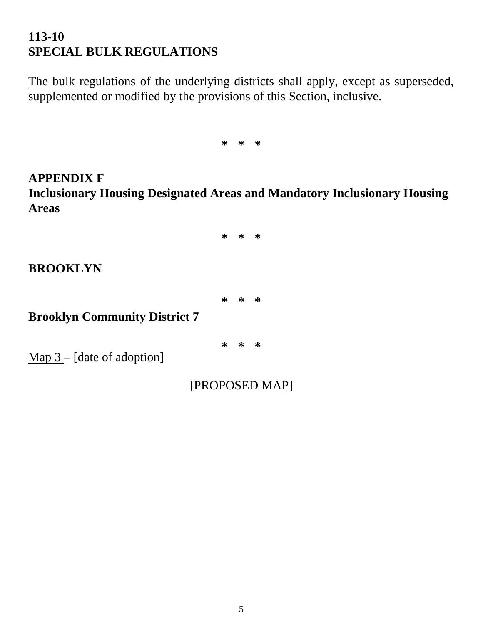## **113-10 SPECIAL BULK REGULATIONS**

The bulk regulations of the underlying districts shall apply, except as superseded, supplemented or modified by the provisions of this Section, inclusive.

**\* \* \***

**APPENDIX F Inclusionary Housing Designated Areas and Mandatory Inclusionary Housing Areas**

**\* \* \***

#### **BROOKLYN**

**\* \* \***

**Brooklyn Community District 7**

**\* \* \***

Map 3 – [date of adoption]

[PROPOSED MAP]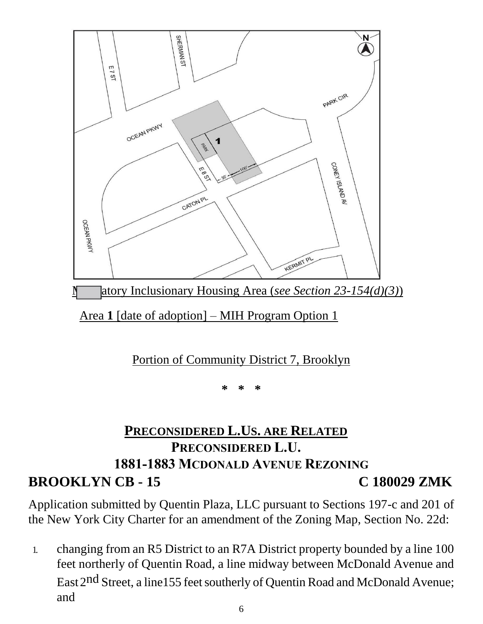

atory Inclusionary Housing Area (*see Section 23-154(d)(3)*)

Area **1** [date of adoption] – MIH Program Option 1

## Portion of Community District 7, Brooklyn

**\* \* \***

# **PRECONSIDERED L.US. ARE RELATED PRECONSIDERED L.U. 1881-1883 MCDONALD AVENUE REZONING BROOKLYN CB - 15 C 180029 ZMK**

Application submitted by Quentin Plaza, LLC pursuant to Sections 197-c and 201 of the New York City Charter for an amendment of the Zoning Map, Section No. 22d:

1. changing from an R5 District to an R7A District property bounded by a line 100 feet northerly of Quentin Road, a line midway between McDonald Avenue and East 2<sup>nd</sup> Street, a line155 feet southerly of Quentin Road and McDonald Avenue; and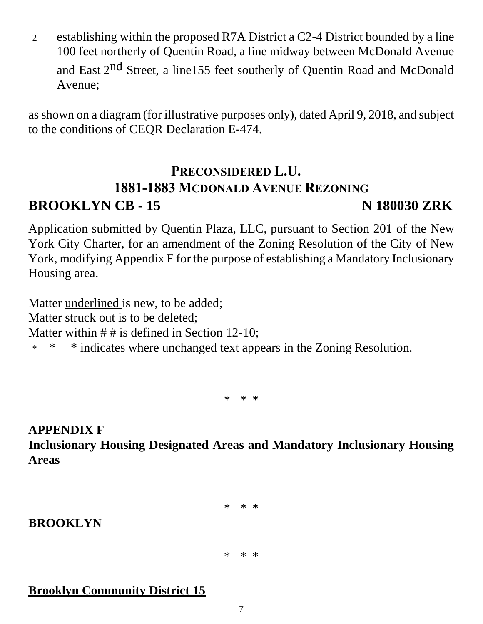2. establishing within the proposed R7A District a C2-4 District bounded by a line 100 feet northerly of Quentin Road, a line midway between McDonald Avenue and East 2<sup>nd</sup> Street, a line155 feet southerly of Quentin Road and McDonald Avenue;

as shown on a diagram (for illustrative purposes only), dated April 9, 2018, and subject to the conditions of CEQR Declaration E-474.

# **PRECONSIDERED L.U. 1881-1883 MCDONALD AVENUE REZONING BROOKLYN CB - 15 N 180030 ZRK**

Application submitted by Quentin Plaza, LLC, pursuant to Section 201 of the New York City Charter, for an amendment of the Zoning Resolution of the City of New York, modifying Appendix F for the purpose of establishing a Mandatory Inclusionary Housing area.

Matter underlined is new, to be added; Matter struck out is to be deleted: Matter within  $# #$  is defined in Section 12-10; \* \* \* indicates where unchanged text appears in the Zoning Resolution.

\* \* \*

**APPENDIX F Inclusionary Housing Designated Areas and Mandatory Inclusionary Housing Areas**

\* \* \*

### **BROOKLYN**

\* \* \*

### **Brooklyn Community District 15**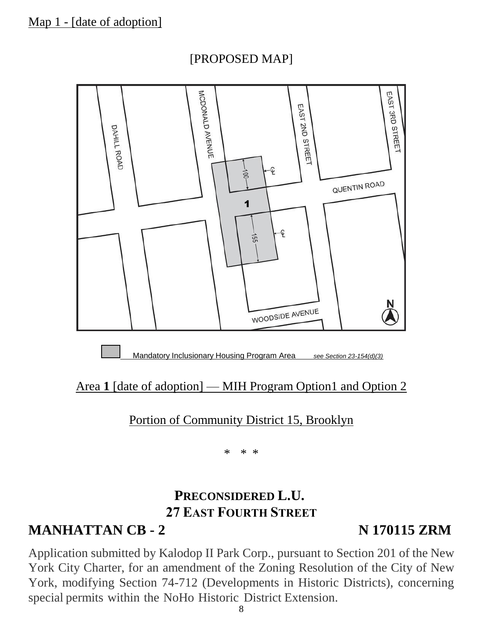



### Area 1 **[date of adoption] — MIH Program Option1 and Option 2**

Portion of Community District 15, Brooklyn

\* \* \*

## **PRECONSIDERED L.U. 27 EAST FOURTH STREET**

# **MANHATTAN CB - 2 N 170115 ZRM**

Application submitted by Kalodop II Park Corp., pursuant to Section 201 of the New York City Charter, for an amendment of the Zoning Resolution of the City of New York, modifying Section 74-712 (Developments in Historic Districts), concerning special permits within the NoHo Historic District Extension.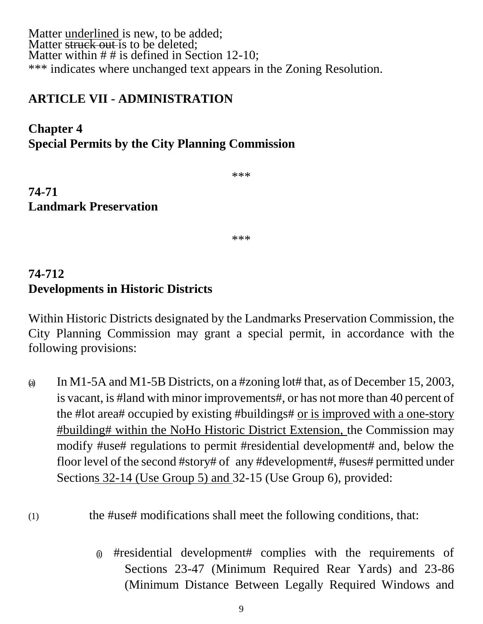Matter underlined is new, to be added; Matter **struck out** is to be deleted; Matter within  $# #$  is defined in Section 12-10; \*\*\* indicates where unchanged text appears in the Zoning Resolution.

#### **ARTICLE VII - ADMINISTRATION**

### **Chapter 4 Special Permits by the City Planning Commission**

\*\*\*

**74-71 Landmark Preservation**

\*\*\*

## **74-712 Developments in Historic Districts**

Within Historic Districts designated by the Landmarks Preservation Commission, the City Planning Commission may grant a special permit, in accordance with the following provisions:

(a) In M1-5A and M1-5B Districts, on a #zoning lot# that, as of December 15, 2003, is vacant, is #land with minor improvements#, or has not more than 40 percent of the #lot area# occupied by existing #buildings# or is improved with a one-story #building# within the NoHo Historic District Extension, the Commission may modify #use# regulations to permit #residential development# and, below the floor level of the second #story# of any #development#, #uses# permitted under Sections 32-14 (Use Group 5) and 32-15 (Use Group 6), provided:

#### (1) the #use# modifications shall meet the following conditions, that:

(i) #residential development# complies with the requirements of Sections 23-47 (Minimum Required Rear Yards) and 23-86 (Minimum Distance Between Legally Required Windows and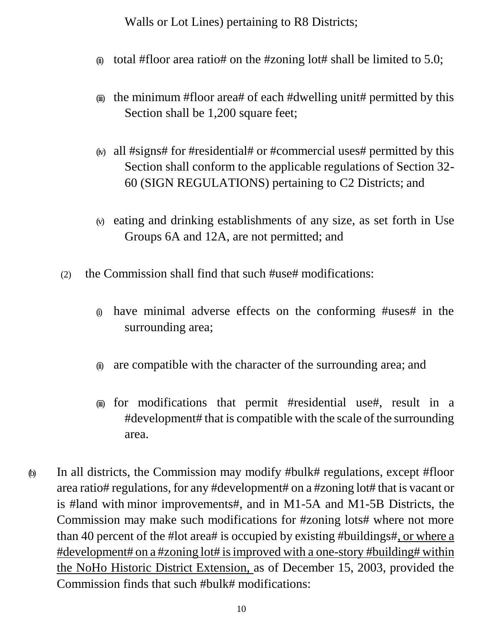Walls or Lot Lines) pertaining to R8 Districts;

- $\omega$  total #floor area ratio# on the #zoning lot# shall be limited to 5.0;
- $\omega$  the minimum #floor area# of each #dwelling unit# permitted by this Section shall be 1,200 square feet;
- $\omega$  all #signs# for #residential# or #commercial uses# permitted by this Section shall conform to the applicable regulations of Section 32- 60 (SIGN REGULATIONS) pertaining to C2 Districts; and
- (v) eating and drinking establishments of any size, as set forth in Use Groups 6A and 12A, are not permitted; and
- (2) the Commission shall find that such #use# modifications:
	- (i) have minimal adverse effects on the conforming #uses# in the surrounding area;
	- (ii) are compatible with the character of the surrounding area; and
	- (iii) for modifications that permit #residential use#, result in a #development# that is compatible with the scale of the surrounding area.
- (b) In all districts, the Commission may modify #bulk# regulations, except #floor area ratio# regulations, for any #development# on a #zoning lot# that is vacant or is #land with minor improvements#, and in M1-5A and M1-5B Districts, the Commission may make such modifications for #zoning lots# where not more than 40 percent of the #lot area# is occupied by existing #buildings#, or where a #development# on a #zoning lot# isimproved with a one-story #building# within the NoHo Historic District Extension, as of December 15, 2003, provided the Commission finds that such #bulk# modifications: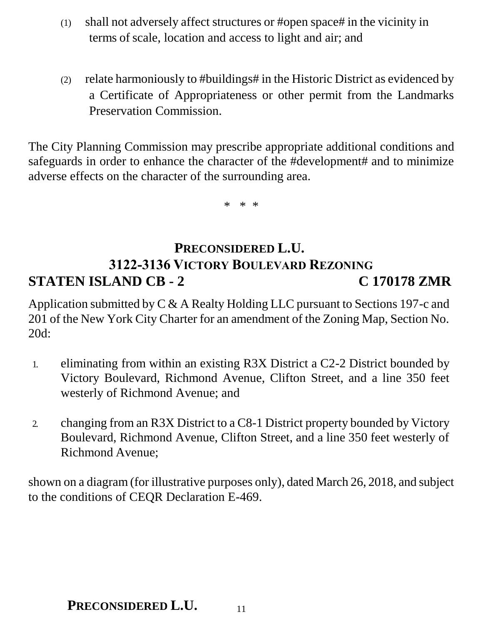- (1) shall not adversely affect structures or #open space# in the vicinity in terms of scale, location and access to light and air; and
- (2) relate harmoniously to #buildings# in the Historic District as evidenced by a Certificate of Appropriateness or other permit from the Landmarks Preservation Commission.

The City Planning Commission may prescribe appropriate additional conditions and safeguards in order to enhance the character of the #development# and to minimize adverse effects on the character of the surrounding area.

\* \* \*

# **PRECONSIDERED L.U. 3122-3136 VICTORY BOULEVARD REZONING STATEN ISLAND CB - 2 C 170178 ZMR**

Application submitted by C & A Realty Holding LLC pursuant to Sections 197-c and 201 of the New York City Charter for an amendment of the Zoning Map, Section No. 20d:

- 1. eliminating from within an existing R3X District a C2-2 District bounded by Victory Boulevard, Richmond Avenue, Clifton Street, and a line 350 feet westerly of Richmond Avenue; and
- 2. changing from an R3X District to a C8-1 District property bounded by Victory Boulevard, Richmond Avenue, Clifton Street, and a line 350 feet westerly of Richmond Avenue;

shown on a diagram (for illustrative purposes only), dated March 26, 2018, and subject to the conditions of CEQR Declaration E-469.

### **PRECONSIDERED L.U.**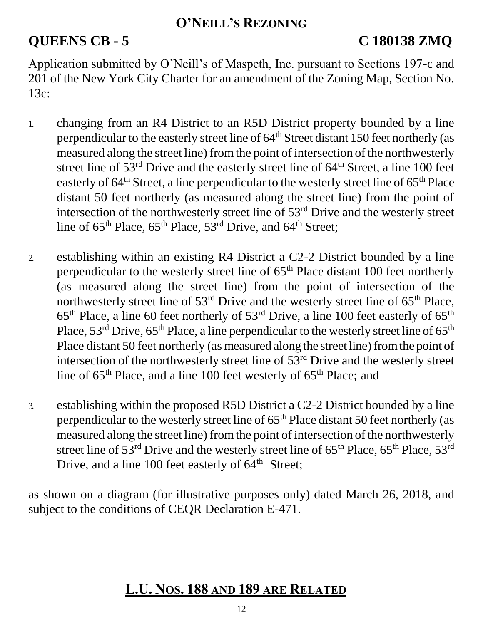### **O'NEILL'S REZONING**

# **QUEENS CB - 5 C 180138 ZMQ**

Application submitted by O'Neill's of Maspeth, Inc. pursuant to Sections 197-c and 201 of the New York City Charter for an amendment of the Zoning Map, Section No. 13c:

- 1. changing from an R4 District to an R5D District property bounded by a line perpendicular to the easterly street line of 64<sup>th</sup> Street distant 150 feet northerly (as measured along the street line) from the point of intersection of the northwesterly street line of 53<sup>rd</sup> Drive and the easterly street line of 64<sup>th</sup> Street, a line 100 feet easterly of  $64<sup>th</sup>$  Street, a line perpendicular to the westerly street line of  $65<sup>th</sup>$  Place distant 50 feet northerly (as measured along the street line) from the point of intersection of the northwesterly street line of 53rd Drive and the westerly street line of  $65<sup>th</sup>$  Place,  $65<sup>th</sup>$  Place,  $53<sup>rd</sup>$  Drive, and  $64<sup>th</sup>$  Street;
- 2. establishing within an existing R4 District a C2-2 District bounded by a line perpendicular to the westerly street line of  $65<sup>th</sup>$  Place distant 100 feet northerly (as measured along the street line) from the point of intersection of the northwesterly street line of  $53<sup>rd</sup>$  Drive and the westerly street line of  $65<sup>th</sup>$  Place,  $65<sup>th</sup>$  Place, a line 60 feet northerly of  $53<sup>rd</sup>$  Drive, a line 100 feet easterly of  $65<sup>th</sup>$ Place,  $53^{\text{rd}}$  Drive,  $65^{\text{th}}$  Place, a line perpendicular to the westerly street line of  $65^{\text{th}}$ Place distant 50 feet northerly (as measured along the street line) from the point of intersection of the northwesterly street line of 53rd Drive and the westerly street line of  $65<sup>th</sup>$  Place, and a line 100 feet westerly of  $65<sup>th</sup>$  Place; and
- 3. establishing within the proposed R5D District a C2-2 District bounded by a line perpendicular to the westerly street line of  $65<sup>th</sup>$  Place distant 50 feet northerly (as measured along the street line) from the point of intersection of the northwesterly street line of  $53<sup>rd</sup>$  Drive and the westerly street line of  $65<sup>th</sup>$  Place,  $65<sup>th</sup>$  Place,  $53<sup>rd</sup>$ Drive, and a line 100 feet easterly of  $64<sup>th</sup>$  Street;

as shown on a diagram (for illustrative purposes only) dated March 26, 2018, and subject to the conditions of CEQR Declaration E-471.

## **L.U. NOS. 188 AND 189 ARE RELATED**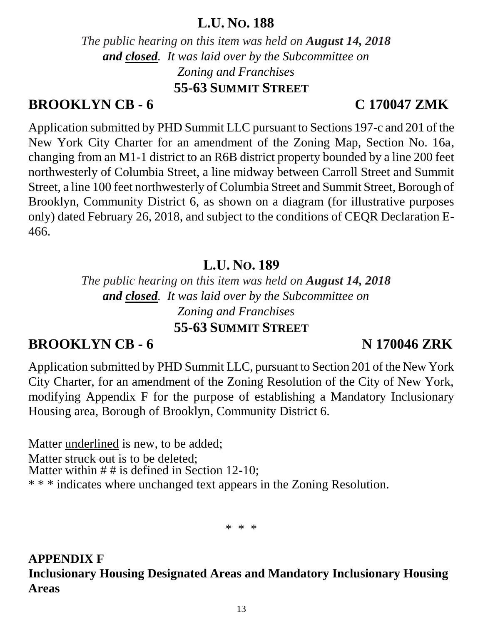## **L.U. NO. 188**

*The public hearing on this item was held on August 14, 2018 and closed. It was laid over by the Subcommittee on Zoning and Franchises* **55-63 SUMMIT STREET**

## **BROOKLYN CB - 6 C 170047 ZMK**

Application submitted by PHD Summit LLC pursuant to Sections 197-c and 201 of the New York City Charter for an amendment of the Zoning Map, Section No. 16a, changing from an M1-1 district to an R6B district property bounded by a line 200 feet northwesterly of Columbia Street, a line midway between Carroll Street and Summit Street, a line 100 feet northwesterly of Columbia Street and Summit Street, Borough of Brooklyn, Community District 6, as shown on a diagram (for illustrative purposes only) dated February 26, 2018, and subject to the conditions of CEQR Declaration E-466.

# **L.U. NO. 189**

*The public hearing on this item was held on August 14, 2018 and closed. It was laid over by the Subcommittee on Zoning and Franchises* **55-63 SUMMIT STREET**

# **BROOKLYN CB - 6 N 170046 ZRK**

Application submitted by PHD Summit LLC, pursuant to Section 201 of the New York City Charter, for an amendment of the Zoning Resolution of the City of New York, modifying Appendix F for the purpose of establishing a Mandatory Inclusionary Housing area, Borough of Brooklyn, Community District 6.

Matter underlined is new, to be added; Matter struck out is to be deleted: Matter within  $# #$  is defined in Section 12-10; \* \* \* indicates where unchanged text appears in the Zoning Resolution.

\* \* \*

**APPENDIX F Inclusionary Housing Designated Areas and Mandatory Inclusionary Housing Areas**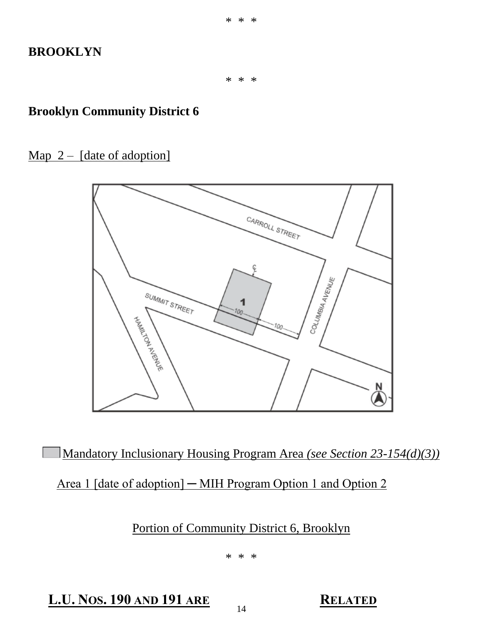#### **BROOKLYN**

\* \* \*

#### **Brooklyn Community District 6**

Map  $2 -$  [date of adoption]



Mandatory Inclusionary Housing Program Area *(see Section 23-154(d)(3))*

Area 1 [date of adoption] — MIH Program Option 1 and Option 2

Portion of Community District 6, Brooklyn

\* \* \*

**L.U. NOS. 190 AND 191 ARE RELATED**

14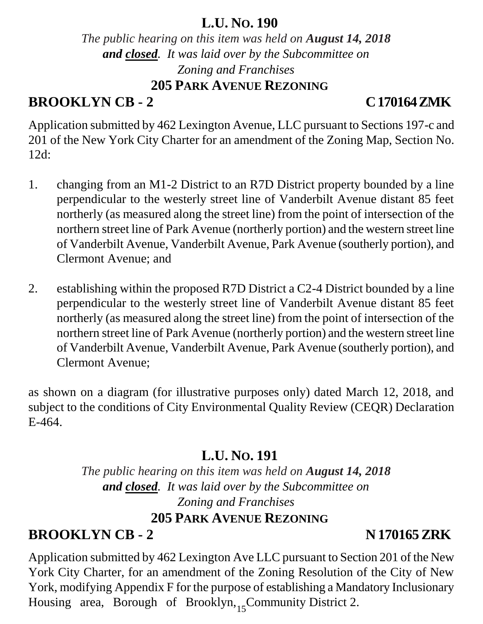## **L.U. NO. 190**

*The public hearing on this item was held on August 14, 2018 and closed. It was laid over by the Subcommittee on Zoning and Franchises* **205 PARK AVENUE REZONING**

# **BROOKLYN CB - 2 C 170164 ZMK**

Application submitted by 462 Lexington Avenue, LLC pursuant to Sections 197-c and 201 of the New York City Charter for an amendment of the Zoning Map, Section No. 12d:

- 1. changing from an M1-2 District to an R7D District property bounded by a line perpendicular to the westerly street line of Vanderbilt Avenue distant 85 feet northerly (as measured along the street line) from the point of intersection of the northern street line of Park Avenue (northerly portion) and the western street line of Vanderbilt Avenue, Vanderbilt Avenue, Park Avenue (southerly portion), and Clermont Avenue; and
- 2. establishing within the proposed R7D District a C2-4 District bounded by a line perpendicular to the westerly street line of Vanderbilt Avenue distant 85 feet northerly (as measured along the street line) from the point of intersection of the northern street line of Park Avenue (northerly portion) and the western street line of Vanderbilt Avenue, Vanderbilt Avenue, Park Avenue (southerly portion), and Clermont Avenue;

as shown on a diagram (for illustrative purposes only) dated March 12, 2018, and subject to the conditions of City Environmental Quality Review (CEQR) Declaration E-464.

# **L.U. NO. 191**

*The public hearing on this item was held on August 14, 2018 and closed. It was laid over by the Subcommittee on Zoning and Franchises* **205 PARK AVENUE REZONING**

# **BROOKLYN CB - 2 N 170165ZRK**

Housing area, Borough of Brooklyn, Community District 2. Application submitted by 462 Lexington Ave LLC pursuant to Section 201 of the New York City Charter, for an amendment of the Zoning Resolution of the City of New York, modifying Appendix F for the purpose of establishing a Mandatory Inclusionary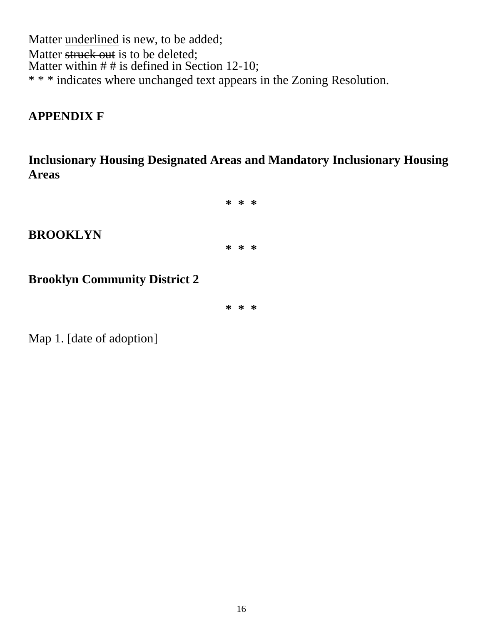Matter *underlined* is new, to be added; Matter struck out is to be deleted; Matter within  $# #$  is defined in Section 12-10; \* \* \* indicates where unchanged text appears in the Zoning Resolution.

#### **APPENDIX F**

**Inclusionary Housing Designated Areas and Mandatory Inclusionary Housing Areas**



## **BROOKLYN**

**Brooklyn Community District 2**

**\* \* \***

Map 1. [date of adoption]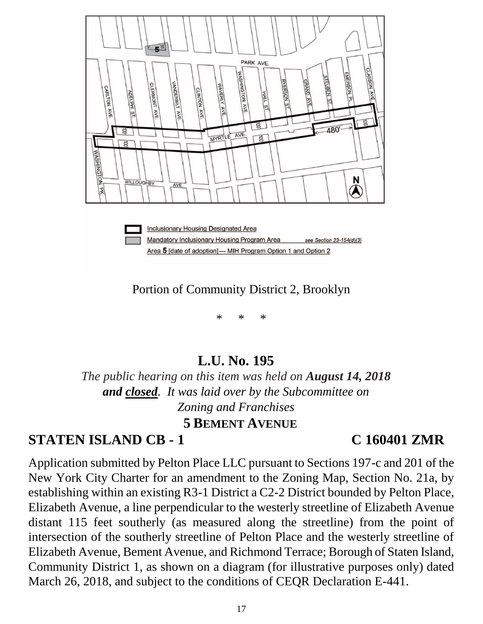

Portion of Community District 2, Brooklyn

\* \* \*

## **L.U. No. 195**

*The public hearing on this item was held on August 14, 2018 and closed. It was laid over by the Subcommittee on Zoning and Franchises* **5 BEMENT AVENUE**

## **STATEN ISLAND CB - 1 C 160401 ZMR**

Application submitted by Pelton Place LLC pursuant to Sections 197-c and 201 of the New York City Charter for an amendment to the Zoning Map, Section No. 21a, by establishing within an existing R3-1 District a C2-2 District bounded by Pelton Place, Elizabeth Avenue, a line perpendicular to the westerly streetline of Elizabeth Avenue distant 115 feet southerly (as measured along the streetline) from the point of intersection of the southerly streetline of Pelton Place and the westerly streetline of Elizabeth Avenue, Bement Avenue, and Richmond Terrace; Borough of Staten Island, Community District 1, as shown on a diagram (for illustrative purposes only) dated March 26, 2018, and subject to the conditions of CEQR Declaration E-441.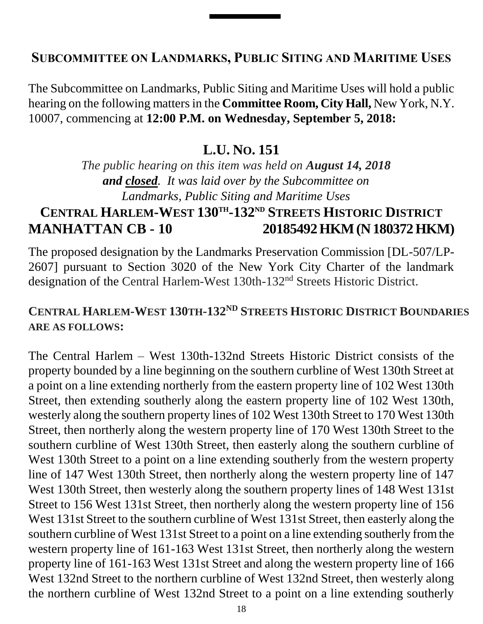### **SUBCOMMITTEE ON LANDMARKS, PUBLIC SITING AND MARITIME USES**

The Subcommittee on Landmarks, Public Siting and Maritime Uses will hold a public hearing on the following mattersin the **Committee Room, City Hall,** New York, N.Y. 10007, commencing at **12:00 P.M. on Wednesday, September 5, 2018:**

### **L.U. NO. 151**

*The public hearing on this item was held on August 14, 2018 and closed. It was laid over by the Subcommittee on Landmarks, Public Siting and Maritime Uses*

# **CENTRAL HARLEM-WEST 130TH -132ND STREETS HISTORIC DISTRICT MANHATTAN CB - 10 20185492 HKM (N 180372 HKM)**

The proposed designation by the Landmarks Preservation Commission [DL-507/LP-2607] pursuant to Section 3020 of the New York City Charter of the landmark designation of the Central Harlem-West 130th-132nd Streets Historic District.

### **CENTRAL HARLEM-WEST 130TH-132ND STREETS HISTORIC DISTRICT BOUNDARIES ARE AS FOLLOWS:**

The Central Harlem – West 130th-132nd Streets Historic District consists of the property bounded by a line beginning on the southern curbline of West 130th Street at a point on a line extending northerly from the eastern property line of 102 West 130th Street, then extending southerly along the eastern property line of 102 West 130th, westerly along the southern property lines of 102 West 130th Street to 170 West 130th Street, then northerly along the western property line of 170 West 130th Street to the southern curbline of West 130th Street, then easterly along the southern curbline of West 130th Street to a point on a line extending southerly from the western property line of 147 West 130th Street, then northerly along the western property line of 147 West 130th Street, then westerly along the southern property lines of 148 West 131st Street to 156 West 131st Street, then northerly along the western property line of 156 West 131st Street to the southern curbline of West 131st Street, then easterly along the southern curbline of West 131st Street to a point on a line extending southerly from the western property line of 161-163 West 131st Street, then northerly along the western property line of 161-163 West 131st Street and along the western property line of 166 West 132nd Street to the northern curbline of West 132nd Street, then westerly along the northern curbline of West 132nd Street to a point on a line extending southerly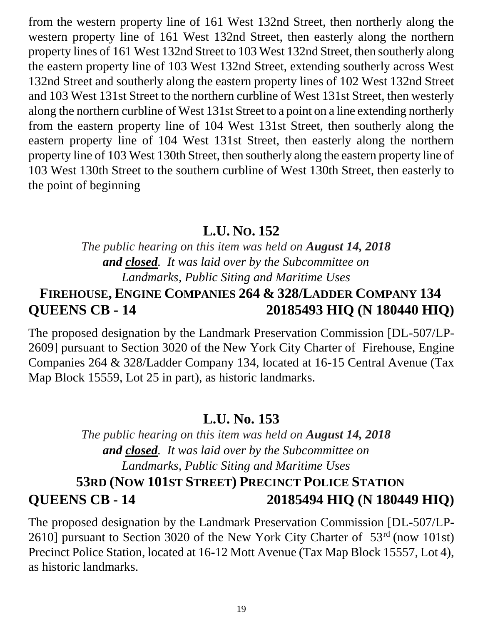from the western property line of 161 West 132nd Street, then northerly along the western property line of 161 West 132nd Street, then easterly along the northern property lines of 161 West 132nd Street to 103 West 132nd Street, then southerly along the eastern property line of 103 West 132nd Street, extending southerly across West 132nd Street and southerly along the eastern property lines of 102 West 132nd Street and 103 West 131st Street to the northern curbline of West 131st Street, then westerly along the northern curbline of West 131st Street to a point on a line extending northerly from the eastern property line of 104 West 131st Street, then southerly along the eastern property line of 104 West 131st Street, then easterly along the northern property line of 103 West 130th Street, then southerly along the eastern property line of 103 West 130th Street to the southern curbline of West 130th Street, then easterly to the point of beginning

## **L.U. NO. 152**

*The public hearing on this item was held on August 14, 2018 and closed. It was laid over by the Subcommittee on Landmarks, Public Siting and Maritime Uses*

# **FIREHOUSE, ENGINE COMPANIES 264 & 328/LADDER COMPANY 134 QUEENS CB - 14 20185493 HIQ (N 180440 HIQ)**

The proposed designation by the Landmark Preservation Commission [DL-507/LP-2609] pursuant to Section 3020 of the New York City Charter of Firehouse, Engine Companies 264 & 328/Ladder Company 134, located at 16-15 Central Avenue (Tax Map Block 15559, Lot 25 in part), as historic landmarks.

## **L.U. No. 153**

*The public hearing on this item was held on August 14, 2018 and closed. It was laid over by the Subcommittee on Landmarks, Public Siting and Maritime Uses* **53RD (NOW 101ST STREET) PRECINCT POLICE STATION QUEENS CB - 14 20185494 HIQ (N 180449 HIQ)**

The proposed designation by the Landmark Preservation Commission [DL-507/LP-2610] pursuant to Section 3020 of the New York City Charter of 53rd (now 101st) Precinct Police Station, located at 16-12 Mott Avenue (Tax Map Block 15557, Lot 4), as historic landmarks.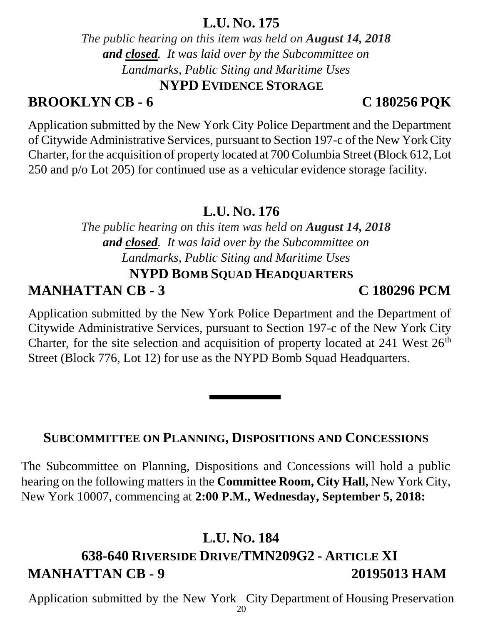### **L.U. NO. 175**

*The public hearing on this item was held on August 14, 2018 and closed. It was laid over by the Subcommittee on Landmarks, Public Siting and Maritime Uses* **NYPD EVIDENCE STORAGE**

# **BROOKLYN CB - 6 C 180256 PQK**

Application submitted by the New York City Police Department and the Department of Citywide Administrative Services, pursuant to Section 197-c of the New York City Charter, for the acquisition of property located at 700 Columbia Street (Block 612, Lot 250 and p/o Lot 205) for continued use as a vehicular evidence storage facility.

# **L.U. NO. 176**

*The public hearing on this item was held on August 14, 2018 and closed. It was laid over by the Subcommittee on Landmarks, Public Siting and Maritime Uses* **NYPD BOMB SQUAD HEADQUARTERS**

# **MANHATTAN CB - 3 C 180296 PCM**

Application submitted by the New York Police Department and the Department of Citywide Administrative Services, pursuant to Section 197-c of the New York City Charter, for the site selection and acquisition of property located at  $241$  West  $26<sup>th</sup>$ Street (Block 776, Lot 12) for use as the NYPD Bomb Squad Headquarters.

## **SUBCOMMITTEE ON PLANNING, DISPOSITIONS AND CONCESSIONS**

The Subcommittee on Planning, Dispositions and Concessions will hold a public hearing on the following matters in the **Committee Room, City Hall,** New York City, New York 10007, commencing at **2:00 P.M., Wednesday, September 5, 2018:**

# **L.U. NO. 184**

# **638-640 RIVERSIDE DRIVE/TMN209G2 - ARTICLE XI MANHATTAN CB - 9 20195013 HAM**

20 Application submitted by the New York City Department of Housing Preservation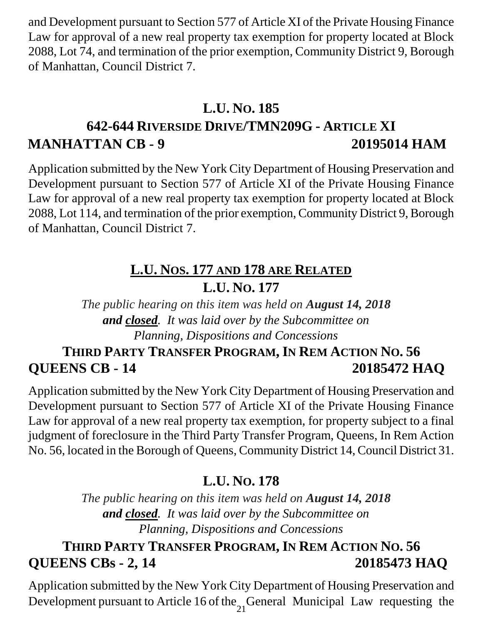and Development pursuant to Section 577 of Article XI of the Private Housing Finance Law for approval of a new real property tax exemption for property located at Block 2088, Lot 74, and termination of the prior exemption, Community District 9, Borough of Manhattan, Council District 7.

## **L.U. NO. 185**

# **642-644 RIVERSIDE DRIVE/TMN209G - ARTICLE XI MANHATTAN CB - 9 20195014 HAM**

Application submitted by the New York City Department of Housing Preservation and Development pursuant to Section 577 of Article XI of the Private Housing Finance Law for approval of a new real property tax exemption for property located at Block 2088, Lot 114, and termination of the prior exemption, Community District 9, Borough of Manhattan, Council District 7.

# **L.U. NOS. 177 AND 178 ARE RELATED L.U. NO. 177**

*The public hearing on this item was held on August 14, 2018 and closed. It was laid over by the Subcommittee on Planning, Dispositions and Concessions*

# **THIRD PARTY TRANSFER PROGRAM, IN REM ACTION NO. 56 QUEENS CB - 14 20185472 HAQ**

Application submitted by the New York City Department of Housing Preservation and Development pursuant to Section 577 of Article XI of the Private Housing Finance Law for approval of a new real property tax exemption, for property subject to a final judgment of foreclosure in the Third Party Transfer Program, Queens, In Rem Action No. 56, located in the Borough of Queens, Community District 14, Council District 31.

# **L.U. NO. 178**

*The public hearing on this item was held on August 14, 2018 and closed. It was laid over by the Subcommittee on Planning, Dispositions and Concessions*

# **THIRD PARTY TRANSFER PROGRAM, IN REM ACTION NO. 56 QUEENS CBs - 2, 14 20185473 HAQ**

Application submitted by the New York City Department of Housing Preservation and Development pursuant to Article 16 of the General Municipal Law requesting the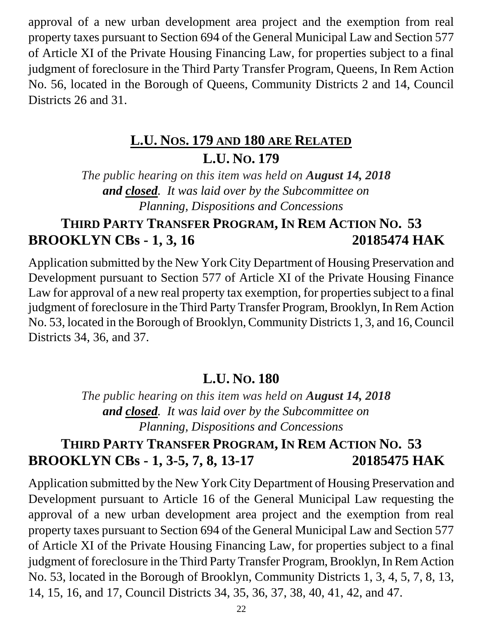approval of a new urban development area project and the exemption from real property taxes pursuant to Section 694 of the General Municipal Law and Section 577 of Article XI of the Private Housing Financing Law, for properties subject to a final judgment of foreclosure in the Third Party Transfer Program, Queens, In Rem Action No. 56, located in the Borough of Queens, Community Districts 2 and 14, Council Districts 26 and 31.

# **L.U. NOS. 179 AND 180 ARE RELATED L.U. NO. 179**

*The public hearing on this item was held on August 14, 2018 and closed. It was laid over by the Subcommittee on Planning, Dispositions and Concessions*

# **THIRD PARTY TRANSFER PROGRAM, IN REM ACTION NO. 53 BROOKLYN CBs - 1, 3, 16 20185474 HAK**

Application submitted by the New York City Department of Housing Preservation and Development pursuant to Section 577 of Article XI of the Private Housing Finance Law for approval of a new real property tax exemption, for properties subject to a final judgment of foreclosure in the Third Party Transfer Program, Brooklyn, In Rem Action No. 53, located in the Borough of Brooklyn, Community Districts 1, 3, and 16, Council Districts 34, 36, and 37.

## **L.U. NO. 180**

*The public hearing on this item was held on August 14, 2018 and closed. It was laid over by the Subcommittee on Planning, Dispositions and Concessions*

## **THIRD PARTY TRANSFER PROGRAM, IN REM ACTION NO. 53 BROOKLYN CBs - 1, 3-5, 7, 8, 13-17 20185475 HAK**

Application submitted by the New York City Department of Housing Preservation and Development pursuant to Article 16 of the General Municipal Law requesting the approval of a new urban development area project and the exemption from real property taxes pursuant to Section 694 of the General Municipal Law and Section 577 of Article XI of the Private Housing Financing Law, for properties subject to a final judgment of foreclosure in the Third Party Transfer Program, Brooklyn, In Rem Action No. 53, located in the Borough of Brooklyn, Community Districts 1, 3, 4, 5, 7, 8, 13, 14, 15, 16, and 17, Council Districts 34, 35, 36, 37, 38, 40, 41, 42, and 47.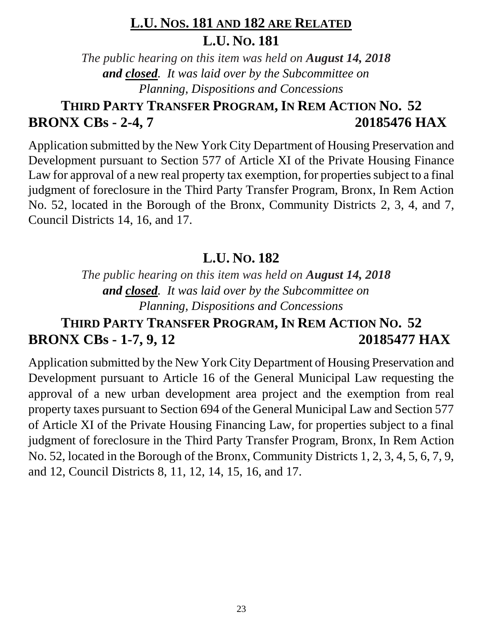# **L.U. NOS. 181 AND 182 ARE RELATED L.U. NO. 181**

*The public hearing on this item was held on August 14, 2018 and closed. It was laid over by the Subcommittee on Planning, Dispositions and Concessions*

# **THIRD PARTY TRANSFER PROGRAM, IN REM ACTION NO. 52 BRONX CBs - 2-4, 7 20185476 HAX**

Application submitted by the New York City Department of Housing Preservation and Development pursuant to Section 577 of Article XI of the Private Housing Finance Law for approval of a new real property tax exemption, for properties subject to a final judgment of foreclosure in the Third Party Transfer Program, Bronx, In Rem Action No. 52, located in the Borough of the Bronx, Community Districts 2, 3, 4, and 7, Council Districts 14, 16, and 17.

## **L.U. NO. 182**

*The public hearing on this item was held on August 14, 2018 and closed. It was laid over by the Subcommittee on Planning, Dispositions and Concessions*

# **THIRD PARTY TRANSFER PROGRAM, IN REM ACTION NO. 52 BRONX CBs - 1-7, 9, 12 20185477 HAX**

Application submitted by the New York City Department of Housing Preservation and Development pursuant to Article 16 of the General Municipal Law requesting the approval of a new urban development area project and the exemption from real property taxes pursuant to Section 694 of the General Municipal Law and Section 577 of Article XI of the Private Housing Financing Law, for properties subject to a final judgment of foreclosure in the Third Party Transfer Program, Bronx, In Rem Action No. 52, located in the Borough of the Bronx, Community Districts 1, 2, 3, 4, 5, 6, 7, 9, and 12, Council Districts 8, 11, 12, 14, 15, 16, and 17.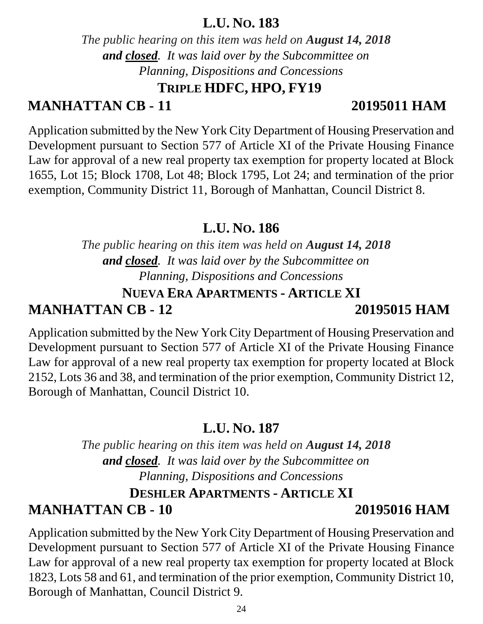#### **L.U. NO. 183**

*The public hearing on this item was held on August 14, 2018 and closed. It was laid over by the Subcommittee on Planning, Dispositions and Concessions*

## **TRIPLE HDFC, HPO, FY19**

# **MANHATTAN CB - 11 20195011 HAM**

Application submitted by the New York City Department of Housing Preservation and Development pursuant to Section 577 of Article XI of the Private Housing Finance Law for approval of a new real property tax exemption for property located at Block 1655, Lot 15; Block 1708, Lot 48; Block 1795, Lot 24; and termination of the prior exemption, Community District 11, Borough of Manhattan, Council District 8.

### **L.U. NO. 186**

*The public hearing on this item was held on August 14, 2018 and closed. It was laid over by the Subcommittee on Planning, Dispositions and Concessions*

# **NUEVA ERA APARTMENTS - ARTICLE XI MANHATTAN CB - 12 20195015 HAM**

Application submitted by the New York City Department of Housing Preservation and Development pursuant to Section 577 of Article XI of the Private Housing Finance Law for approval of a new real property tax exemption for property located at Block 2152, Lots 36 and 38, and termination of the prior exemption, Community District 12, Borough of Manhattan, Council District 10.

## **L.U. NO. 187**

*The public hearing on this item was held on August 14, 2018 and closed. It was laid over by the Subcommittee on Planning, Dispositions and Concessions*

### **DESHLER APARTMENTS - ARTICLE XI MANHATTAN CB - 10 20195016 HAM**

Application submitted by the New York City Department of Housing Preservation and Development pursuant to Section 577 of Article XI of the Private Housing Finance Law for approval of a new real property tax exemption for property located at Block 1823, Lots 58 and 61, and termination of the prior exemption, Community District 10, Borough of Manhattan, Council District 9.